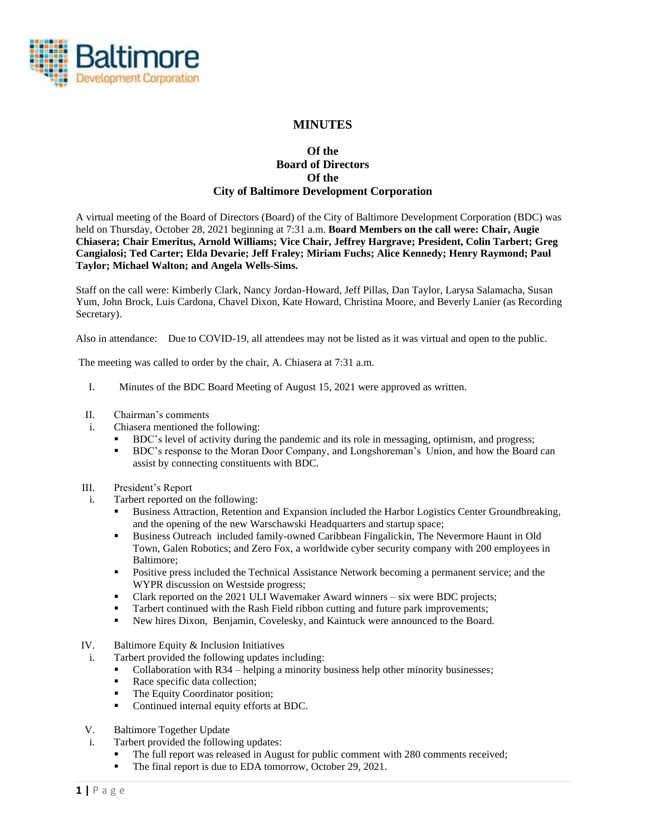

# **MINUTES**

## **Of the Board of Directors Of the City of Baltimore Development Corporation**

A virtual meeting of the Board of Directors (Board) of the City of Baltimore Development Corporation (BDC) was held on Thursday, October 28, 2021 beginning at 7:31 a.m. **Board Members on the call were: Chair, Augie Chiasera; Chair Emeritus, Arnold Williams; Vice Chair, Jeffrey Hargrave; President, Colin Tarbert; Greg Cangialosi; Ted Carter; Elda Devarie; Jeff Fraley; Miriam Fuchs; Alice Kennedy; Henry Raymond; Paul Taylor; Michael Walton; and Angela Wells-Sims.**

Staff on the call were: Kimberly Clark, Nancy Jordan-Howard, Jeff Pillas, Dan Taylor, Larysa Salamacha, Susan Yum, John Brock, Luis Cardona, Chavel Dixon, Kate Howard, Christina Moore, and Beverly Lanier (as Recording Secretary).

Also in attendance: Due to COVID-19, all attendees may not be listed as it was virtual and open to the public.

The meeting was called to order by the chair, A. Chiasera at 7:31 a.m.

- I. Minutes of the BDC Board Meeting of August 15, 2021 were approved as written.
- II. Chairman's comments
- i. Chiasera mentioned the following:
	- BDC's level of activity during the pandemic and its role in messaging, optimism, and progress;
	- **EXECT:** BDC's response to the Moran Door Company, and Longshoreman's Union, and how the Board can assist by connecting constituents with BDC.
- III. President's Report
- i. Tarbert reported on the following:
	- Business Attraction, Retention and Expansion included the Harbor Logistics Center Groundbreaking, and the opening of the new Warschawski Headquarters and startup space;
	- Business Outreach included family-owned Caribbean Fingalickin, The Nevermore Haunt in Old Town, Galen Robotics; and Zero Fox, a worldwide cyber security company with 200 employees in Baltimore;
	- Positive press included the Technical Assistance Network becoming a permanent service; and the WYPR discussion on Westside progress;
	- Clark reported on the 2021 ULI Wavemaker Award winners six were BDC projects;
	- **Tarbert continued with the Rash Field ribbon cutting and future park improvements;**
	- New hires Dixon, Benjamin, Covelesky, and Kaintuck were announced to the Board.
- IV. Baltimore Equity & Inclusion Initiatives
	- i. Tarbert provided the following updates including:
		- Collaboration with R34 helping a minority business help other minority businesses;
		- Race specific data collection;
		- The Equity Coordinator position;
		- Continued internal equity efforts at BDC.
- V. Baltimore Together Update
- i. Tarbert provided the following updates:
	- The full report was released in August for public comment with 280 comments received;
	- The final report is due to EDA tomorrow, October 29, 2021.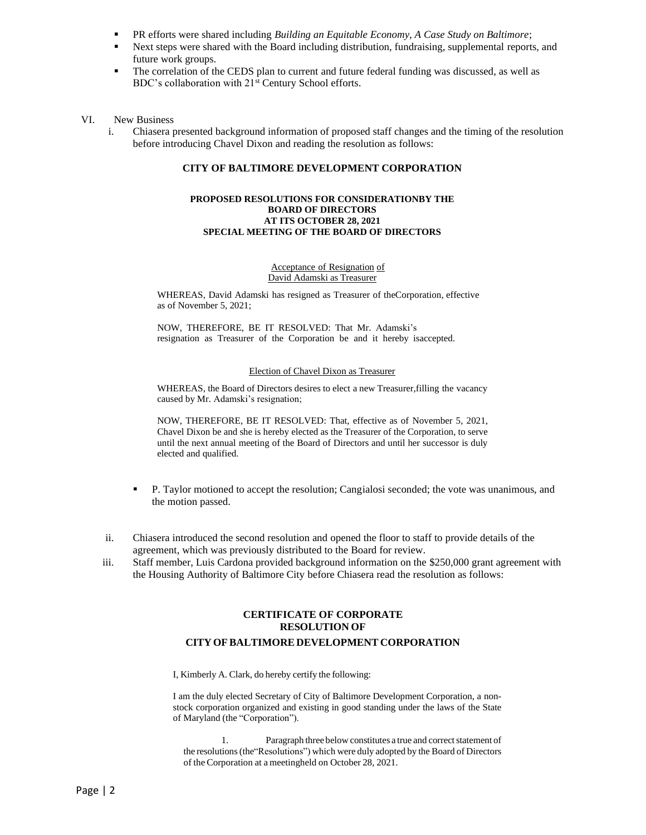- PR efforts were shared including *Building an Equitable Economy, A Case Study on Baltimore*;
- **•** Next steps were shared with the Board including distribution, fundraising, supplemental reports, and future work groups.
- The correlation of the CEDS plan to current and future federal funding was discussed, as well as BDC's collaboration with 21<sup>st</sup> Century School efforts.
- VI. New Business
	- i. Chiasera presented background information of proposed staff changes and the timing of the resolution before introducing Chavel Dixon and reading the resolution as follows:

### **CITY OF BALTIMORE DEVELOPMENT CORPORATION**

#### **PROPOSED RESOLUTIONS FOR CONSIDERATIONBY THE BOARD OF DIRECTORS AT ITS OCTOBER 28, 2021 SPECIAL MEETING OF THE BOARD OF DIRECTORS**

#### Acceptance of Resignation of David Adamski as Treasurer

WHEREAS, David Adamski has resigned as Treasurer of theCorporation, effective as of November 5, 2021;

NOW, THEREFORE, BE IT RESOLVED: That Mr. Adamski's resignation as Treasurer of the Corporation be and it hereby isaccepted.

#### Election of Chavel Dixon as Treasurer

WHEREAS, the Board of Directors desires to elect a new Treasurer,filling the vacancy caused by Mr. Adamski's resignation;

NOW, THEREFORE, BE IT RESOLVED: That, effective as of November 5, 2021, Chavel Dixon be and she is hereby elected as the Treasurer of the Corporation, to serve until the next annual meeting of the Board of Directors and until her successor is duly elected and qualified.

- P. Taylor motioned to accept the resolution; Cangialosi seconded; the vote was unanimous, and the motion passed.
- ii. Chiasera introduced the second resolution and opened the floor to staff to provide details of the agreement, which was previously distributed to the Board for review.
- iii. Staff member, Luis Cardona provided background information on the \$250,000 grant agreement with the Housing Authority of Baltimore City before Chiasera read the resolution as follows:

### **CERTIFICATE OF CORPORATE RESOLUTION OF CITY OFBALTIMORE DEVELOPMENT CORPORATION**

I, Kimberly A. Clark, do hereby certify the following:

I am the duly elected Secretary of City of Baltimore Development Corporation, a nonstock corporation organized and existing in good standing under the laws of the State of Maryland (the "Corporation").

1. Paragraph three below constitutes a true and correct statement of the resolutions(the"Resolutions") which were duly adopted by the Board of Directors of the Corporation at a meetingheld on October 28, 2021.